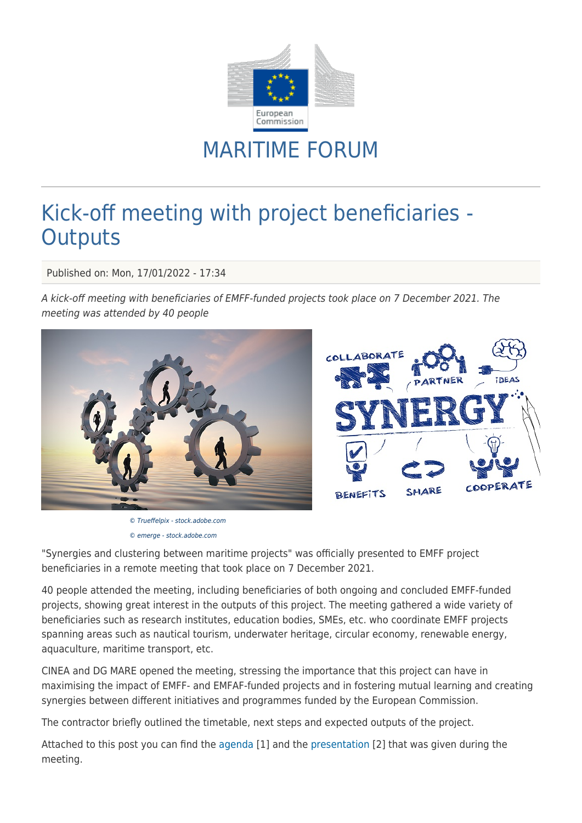

## MARITIME FORUM

## Kick-off meeting with project beneficiaries - **Outputs**

Published on: Mon, 17/01/2022 - 17:34

A kick-off meeting with beneficiaries of EMFF-funded projects took place on 7 December 2021. The meeting was attended by 40 people



© Trueffelpix - stock.adobe.com © emerge - stock.adobe.com



"Synergies and clustering between maritime projects" was officially presented to EMFF project beneficiaries in a remote meeting that took place on 7 December 2021.

40 people attended the meeting, including beneficiaries of both ongoing and concluded EMFF-funded projects, showing great interest in the outputs of this project. The meeting gathered a wide variety of beneficiaries such as research institutes, education bodies, SMEs, etc. who coordinate EMFF projects spanning areas such as nautical tourism, underwater heritage, circular economy, renewable energy, aquaculture, maritime transport, etc.

CINEA and DG MARE opened the meeting, stressing the importance that this project can have in maximising the impact of EMFF- and EMFAF-funded projects and in fostering mutual learning and creating synergies between different initiatives and programmes funded by the European Commission.

The contractor briefly outlined the timetable, next steps and expected outputs of the project.

Attached to this post you can find the [agenda](https://webgate.ec.europa.eu/maritimeforum/en/system/files/synergies_and_clustering_between_maritime_projects_kick-off_with_beneficiaries.pdf) [1] and the [presentation](https://webgate.ec.europa.eu/maritimeforum/en/system/files/synergies_and_clustering_between_maritime_projects.pptx) [2] that was given during the meeting.